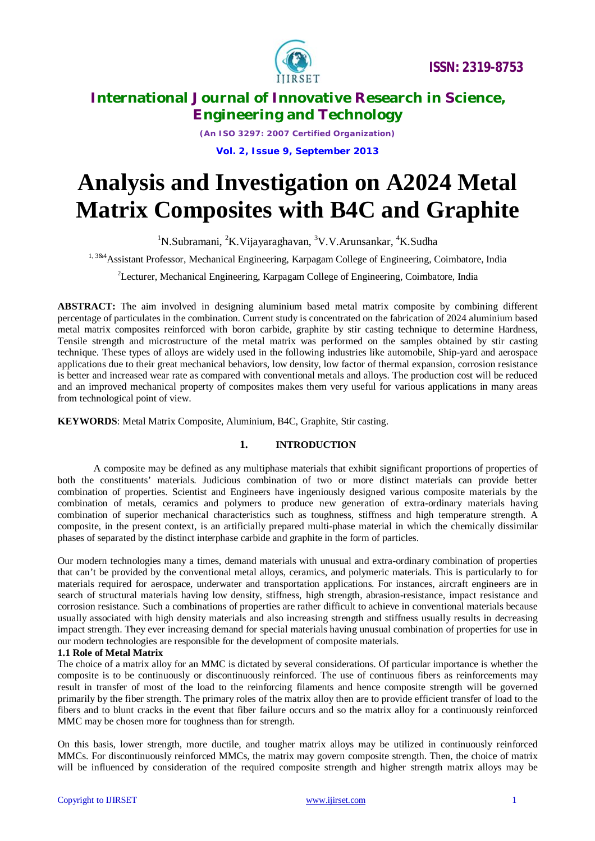

*(An ISO 3297: 2007 Certified Organization)*

**Vol. 2, Issue 9, September 2013**

# **Analysis and Investigation on A2024 Metal Matrix Composites with B4C and Graphite**

<sup>1</sup>N.Subramani, <sup>2</sup>K.Vijayaraghavan, <sup>3</sup>V.V.Arunsankar, <sup>4</sup>K.Sudha

1, 3&4 Assistant Professor, Mechanical Engineering, Karpagam College of Engineering, Coimbatore, India

<sup>2</sup>Lecturer, Mechanical Engineering, Karpagam College of Engineering, Coimbatore, India

**ABSTRACT:** The aim involved in designing aluminium based metal matrix composite by combining different percentage of particulates in the combination. Current study is concentrated on the fabrication of 2024 aluminium based metal matrix composites reinforced with boron carbide, graphite by stir casting technique to determine Hardness, Tensile strength and microstructure of the metal matrix was performed on the samples obtained by stir casting technique. These types of alloys are widely used in the following industries like automobile, Ship-yard and aerospace applications due to their great mechanical behaviors, low density, low factor of thermal expansion, corrosion resistance is better and increased wear rate as compared with conventional metals and alloys. The production cost will be reduced and an improved mechanical property of composites makes them very useful for various applications in many areas from technological point of view.

**KEYWORDS**: Metal Matrix Composite, Aluminium, B4C, Graphite, Stir casting.

### **1. INTRODUCTION**

A composite may be defined as any multiphase materials that exhibit significant proportions of properties of both the constituents' materials. Judicious combination of two or more distinct materials can provide better combination of properties. Scientist and Engineers have ingeniously designed various composite materials by the combination of metals, ceramics and polymers to produce new generation of extra-ordinary materials having combination of superior mechanical characteristics such as toughness, stiffness and high temperature strength. A composite, in the present context, is an artificially prepared multi-phase material in which the chemically dissimilar phases of separated by the distinct interphase carbide and graphite in the form of particles.

Our modern technologies many a times, demand materials with unusual and extra-ordinary combination of properties that can't be provided by the conventional metal alloys, ceramics, and polymeric materials. This is particularly to for materials required for aerospace, underwater and transportation applications. For instances, aircraft engineers are in search of structural materials having low density, stiffness, high strength, abrasion-resistance, impact resistance and corrosion resistance. Such a combinations of properties are rather difficult to achieve in conventional materials because usually associated with high density materials and also increasing strength and stiffness usually results in decreasing impact strength. They ever increasing demand for special materials having unusual combination of properties for use in our modern technologies are responsible for the development of composite materials.

### **1.1 Role of Metal Matrix**

The choice of a matrix alloy for an MMC is dictated by several considerations. Of particular importance is whether the composite is to be continuously or discontinuously reinforced. The use of continuous fibers as reinforcements may result in transfer of most of the load to the reinforcing filaments and hence composite strength will be governed primarily by the fiber strength. The primary roles of the matrix alloy then are to provide efficient transfer of load to the fibers and to blunt cracks in the event that fiber failure occurs and so the matrix alloy for a continuously reinforced MMC may be chosen more for toughness than for strength.

On this basis, lower strength, more ductile, and tougher matrix alloys may be utilized in continuously reinforced MMCs. For discontinuously reinforced MMCs, the matrix may govern composite strength. Then, the choice of matrix will be influenced by consideration of the required composite strength and higher strength matrix alloys may be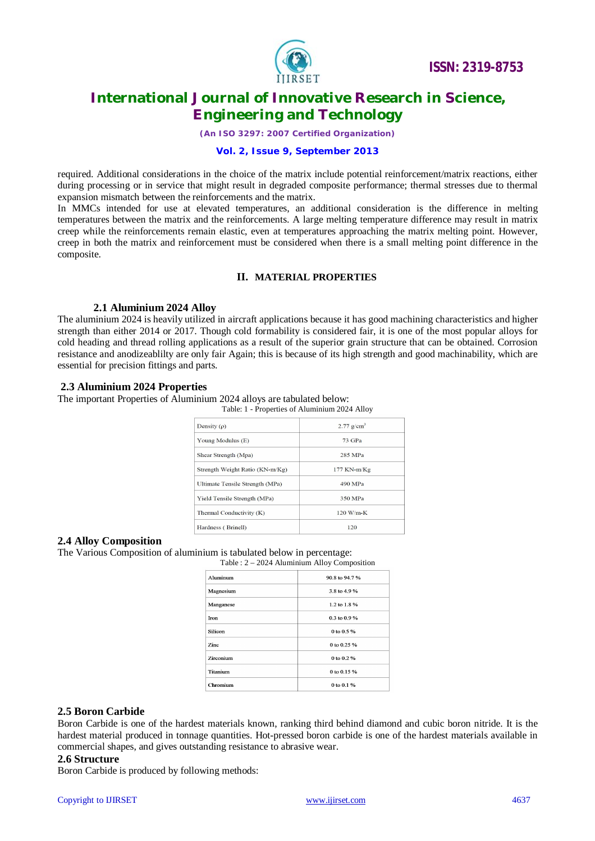

*(An ISO 3297: 2007 Certified Organization)*

### **Vol. 2, Issue 9, September 2013**

required. Additional considerations in the choice of the matrix include potential reinforcement/matrix reactions, either during processing or in service that might result in degraded composite performance; thermal stresses due to thermal expansion mismatch between the reinforcements and the matrix.

In MMCs intended for use at elevated temperatures, an additional consideration is the difference in melting temperatures between the matrix and the reinforcements. A large melting temperature difference may result in matrix creep while the reinforcements remain elastic, even at temperatures approaching the matrix melting point. However, creep in both the matrix and reinforcement must be considered when there is a small melting point difference in the composite.

### **II. MATERIAL PROPERTIES**

### **2.1 Aluminium 2024 Alloy**

The aluminium 2024 is heavily utilized in aircraft applications because it has good machining characteristics and higher strength than either 2014 or 2017. Though cold formability is considered fair, it is one of the most popular alloys for cold heading and thread rolling applications as a result of the superior grain structure that can be obtained. Corrosion resistance and anodizeablilty are only fair Again; this is because of its high strength and good machinability, which are essential for precision fittings and parts.

### **2.3 Aluminium 2024 Properties**

The important Properties of Aluminium 2024 alloys are tabulated below:

| Table: 1 - Properties of Aluminium 2024 Alloy |                       |
|-----------------------------------------------|-----------------------|
| Density $(\rho)$                              | $2.77 \text{ g/cm}^3$ |
| Young Modulus (E)                             | 73 GPa                |
| Shear Strength (Mpa)                          | 285 MPa               |
| Strength Weight Ratio (KN-m/Kg)               | 177 KN-m/Kg           |
| Ultimate Tensile Strength (MPa)               | 490 MPa               |
| Yield Tensile Strength (MPa)                  | 350 MPa               |
| Thermal Conductivity (K)                      | $120$ W/m-K           |
| Hardness (Brinell)                            | 120                   |

### **2.4 Alloy Composition**

The Various Composition of aluminium is tabulated below in percentage:

Table : 2 – 2024 Aluminium Alloy Composition

| Aluminum        | 90.8 to 94.7 % |
|-----------------|----------------|
| Magnesium       | 3.8 to 4.9 %   |
| Manganese       | 1.2 to 1.8 %   |
| <b>Iron</b>     | 0.3 to 0.9 %   |
| Silicon         | 0 to $0.5 \%$  |
| <b>Zinc</b>     | 0 to 0.25 $%$  |
| Zirconium       | 0 to 0.2 %     |
| <b>Titanium</b> | 0 to 0.15 %    |
| Chromium        | 0 to 0.1 %     |

### **2.5 Boron Carbide**

Boron Carbide is one of the hardest materials known, ranking third behind diamond and cubic boron nitride. It is the hardest material produced in tonnage quantities. Hot-pressed boron carbide is one of the hardest materials available in commercial shapes, and gives outstanding resistance to abrasive wear.

#### **2.6 Structure**

Boron Carbide is produced by following methods: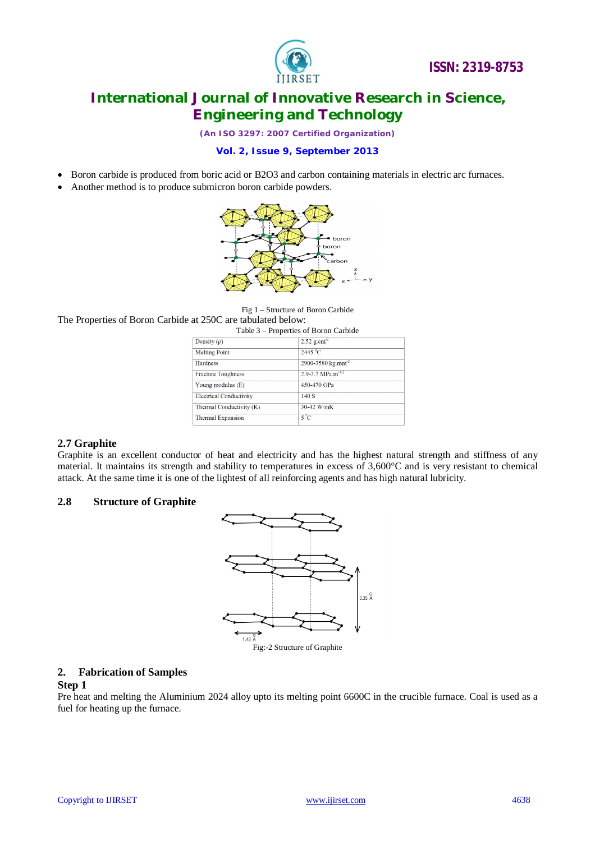

*(An ISO 3297: 2007 Certified Organization)*

### **Vol. 2, Issue 9, September 2013**

- Boron carbide is produced from boric acid or B2O3 and carbon containing materials in electric arc furnaces.
- Another method is to produce submicron boron carbide powders.



Fig 1 – Structure of Boron Carbide

The Properties of Boron Carbide at 250C are tabulated below:

|                                | Table 3 – Properties of Boron Carbide |  |
|--------------------------------|---------------------------------------|--|
| Density $(\rho)$               | $2.52$ g.cm <sup>-2</sup>             |  |
| <b>Melting Point</b>           | $2445^{\circ}$ C                      |  |
| <b>Hardness</b>                | 2900-3580 kg.mm <sup>-2</sup>         |  |
| <b>Fracture Toughness</b>      | 2.9-3.7 $MPa.m^{-1/2}$                |  |
| Young modulus (E)              | 450-470 GPa                           |  |
| <b>Electrical Conductivity</b> | 140S                                  |  |
| Thermal Conductivity (K)       | 30-42 W/mK                            |  |
| Thermal Expansion              | $5^{\circ}$ C                         |  |

### **2.7 Graphite**

Graphite is an excellent conductor of heat and electricity and has the highest natural strength and stiffness of any material. It maintains its strength and stability to temperatures in excess of 3,600°C and is very resistant to chemical attack. At the same time it is one of the lightest of all reinforcing agents and has high natural lubricity.

### **2.8 Structure of Graphite**



### **2. Fabrication of Samples**

### **Step 1**

Pre heat and melting the Aluminium 2024 alloy upto its melting point 6600C in the crucible furnace. Coal is used as a fuel for heating up the furnace.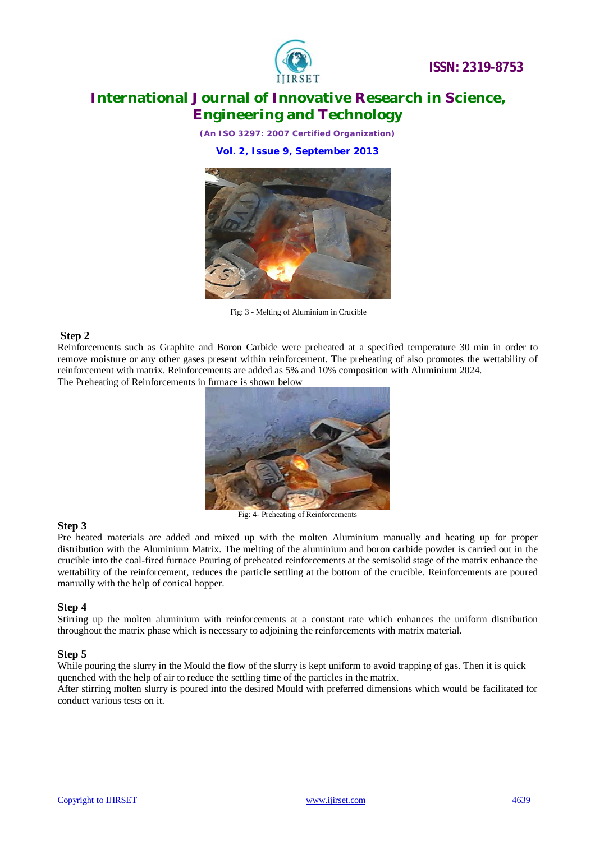

*(An ISO 3297: 2007 Certified Organization)*

**Vol. 2, Issue 9, September 2013**



Fig: 3 - Melting of Aluminium in Crucible

### **Step 2**

Reinforcements such as Graphite and Boron Carbide were preheated at a specified temperature 30 min in order to remove moisture or any other gases present within reinforcement. The preheating of also promotes the wettability of reinforcement with matrix. Reinforcements are added as 5% and 10% composition with Aluminium 2024. The Preheating of Reinforcements in furnace is shown below



### **Step 3**

Pre heated materials are added and mixed up with the molten Aluminium manually and heating up for proper distribution with the Aluminium Matrix. The melting of the aluminium and boron carbide powder is carried out in the crucible into the coal-fired furnace Pouring of preheated reinforcements at the semisolid stage of the matrix enhance the wettability of the reinforcement, reduces the particle settling at the bottom of the crucible. Reinforcements are poured manually with the help of conical hopper.

### **Step 4**

Stirring up the molten aluminium with reinforcements at a constant rate which enhances the uniform distribution throughout the matrix phase which is necessary to adjoining the reinforcements with matrix material.

### **Step 5**

While pouring the slurry in the Mould the flow of the slurry is kept uniform to avoid trapping of gas. Then it is quick quenched with the help of air to reduce the settling time of the particles in the matrix.

After stirring molten slurry is poured into the desired Mould with preferred dimensions which would be facilitated for conduct various tests on it.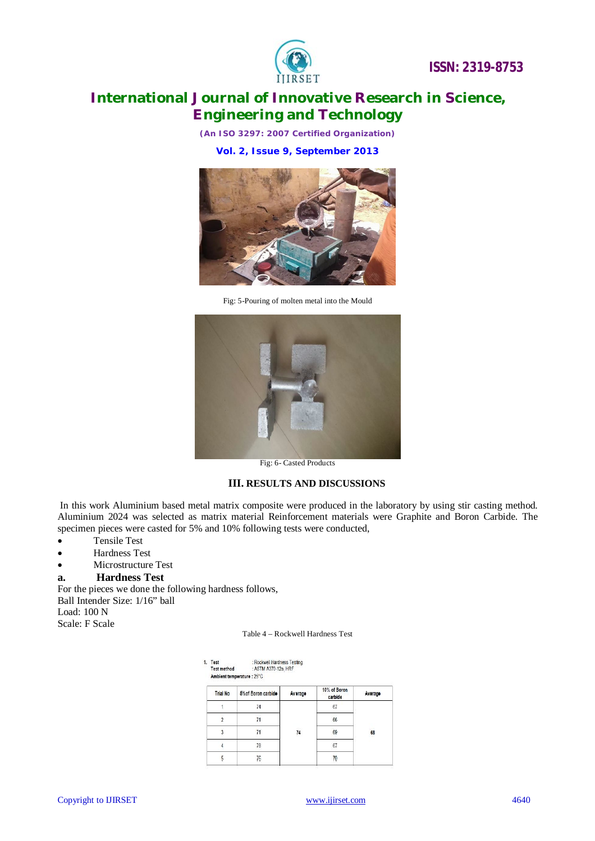



*(An ISO 3297: 2007 Certified Organization)*

**Vol. 2, Issue 9, September 2013**



Fig: 5-Pouring of molten metal into the Mould



Fig: 6- Casted Products

#### **III. RESULTS AND DISCUSSIONS**

In this work Aluminium based metal matrix composite were produced in the laboratory by using stir casting method. Aluminium 2024 was selected as matrix material Reinforcement materials were Graphite and Boron Carbide. The specimen pieces were casted for 5% and 10% following tests were conducted,

- Tensile Test
- Hardness Test
- Microstructure Test

#### **a. Hardness Test**

For the pieces we done the following hardness follows, Ball Intender Size: 1/16" ball Load: 100 N

Scale: F Scale

| l. Test                    | : Rockwell Hardness Testing |
|----------------------------|-----------------------------|
| <b>Test method</b>         | : ASTM A370-12a, HRF        |
| Ambient temperature : 25°C |                             |

| <b>Trial No</b> | 5% of Boron carbide | Average  | 10% of Boron<br>carbide | Average    |
|-----------------|---------------------|----------|-------------------------|------------|
|                 | 74                  |          | 67                      |            |
|                 |                     |          | 66                      |            |
| 3               |                     | 74<br>n. | 69                      | 68<br>2394 |
|                 | 78                  |          | 67                      |            |
|                 | 76                  |          |                         |            |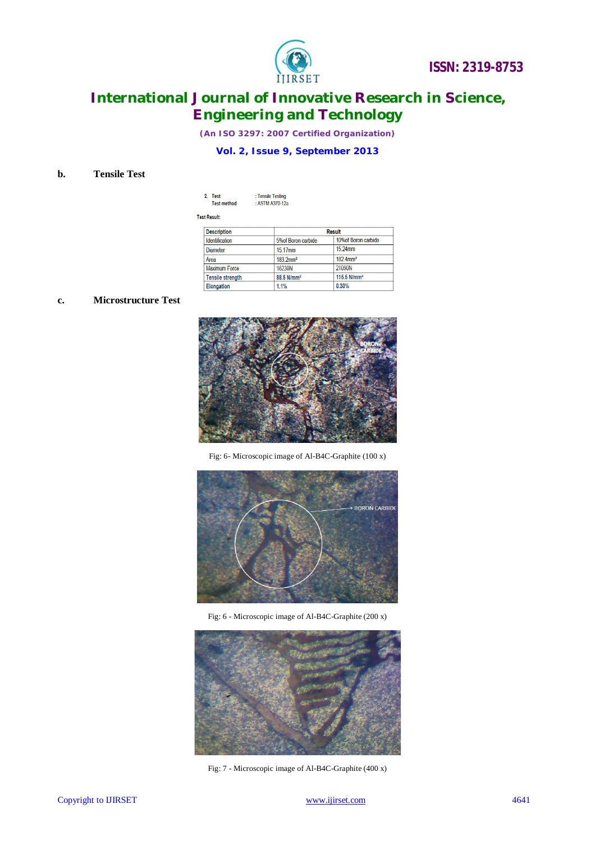

*(An ISO 3297: 2007 Certified Organization)*

### **Vol. 2, Issue 9, September 2013**

### **b. Tensile Test**

| 2. Test            | : Tensile Testing |
|--------------------|-------------------|
| <b>Test method</b> | : ASTM A370-12a   |

Test Result:

| <b>Description</b>      | <b>Result</b>           |                         |
|-------------------------|-------------------------|-------------------------|
| <b>Identification</b>   | 5% of Boron carbide     | 10% of Boron carbide    |
| <b>Diameter</b>         | 15.17mm                 | 15.24mm                 |
| Area                    | $183.2$ mm <sup>2</sup> | $182$ 4mm <sup>2</sup>  |
| <b>Maximum Force</b>    | 16230N                  | 21090N                  |
| <b>Tensile strength</b> | 88.5 N/mm <sup>2</sup>  | 115.5 N/mm <sup>2</sup> |
| <b>Elongation</b>       | 1.1%                    | 0.30%                   |

### **c. Microstructure Test**



Fig: 6- Microscopic image of Al-B4C-Graphite (100 x)



Fig: 6 - Microscopic image of Al-B4C-Graphite (200 x)



Fig: 7 - Microscopic image of Al-B4C-Graphite (400 x)